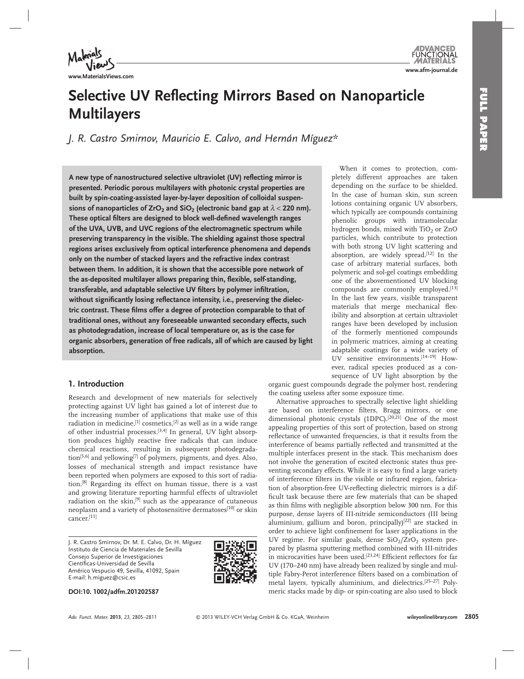

**www.MaterialsViews.com**

# **Selective UV Reflecting Mirrors Based on Nanoparticle Multilayers**

*J. R. Castro Smirnov , Mauricio E. Calvo , and Hernán Míguez \** 

A new type of nanostructured selective ultraviolet (UV) reflecting mirror is **presented. Periodic porous multilayers with photonic crystal properties are built by spin-coating-assisted layer-by-layer deposition of colloidal suspen**sions of nanoparticles of  $ZrO<sub>2</sub>$  and  $SiO<sub>2</sub>$  (electronic band gap at  $\lambda < 220$  nm). These optical filters are designed to block well-defined wavelength ranges **of the UVA, UVB, and UVC regions of the electromagnetic spectrum while preserving transparency in the visible. The shielding against those spectral regions arises exclusively from optical interference phenomena and depends only on the number of stacked layers and the refractive index contrast between them. In addition, it is shown that the accessible pore network of**  the as-deposited multilayer allows preparing thin, flexible, self-standing, transferable, and adaptable selective UV filters by polymer infiltration, without significantly losing reflectance intensity, i.e., preserving the dielectric contrast. These films offer a degree of protection comparable to that of **traditional ones, without any foreseeable unwanted secondary effects, such as photodegradation, increase of local temperature or, as is the case for organic absorbers, generation of free radicals, all of which are caused by light absorption.** 

# **1. Introduction**

 Research and development of new materials for selectively protecting against UV light has gained a lot of interest due to the increasing number of applications that make use of this radiation in medicine,  $[1]$  cosmetics,  $[2]$  as well as in a wide range of other industrial processes.<sup>[3,4]</sup> In general, UV light absorption produces highly reactive free radicals that can induce chemical reactions, resulting in subsequent photodegradation<sup>[5,6]</sup> and yellowing<sup>[7]</sup> of polymers, pigments, and dyes. Also, losses of mechanical strength and impact resistance have been reported when polymers are exposed to this sort of radiation.<sup>[8]</sup> Regarding its effect on human tissue, there is a vast and growing literature reporting harmful effects of ultraviolet radiation on the skin,<sup>[9]</sup> such as the appearance of cutaneous neoplasm and a variety of photosensitive dermatoses<sup>[10]</sup> or skin cancer.[11]

 J. R. Castro Smirnov, Dr. M. E. Calvo, Dr. H. Míguez Instituto de Ciencia de Materiales de Sevilla Consejo Superior de Investigaciones Científicas-Universidad de Sevilla Américo Vespucio 49, Sevilla, 41092, Spain E-mail: h.miguez@csic.es



**DOI: 10. 1002/adfm.201202587** 

 When it comes to protection, completely different approaches are taken depending on the surface to be shielded. In the case of human skin, sun screen lotions containing organic UV absorbers, which typically are compounds containing phenolic groups with intramolecular hydrogen bonds, mixed with  $TiO<sub>2</sub>$  or ZnO particles, which contribute to protection with both strong UV light scattering and absorption, are widely spread.<sup>[12]</sup> In the case of arbitrary material surfaces, both polymeric and sol-gel coatings embedding one of the abovementioned UV blocking compounds are commonly employed.<sup>[13]</sup> In the last few years, visible transparent materials that merge mechanical flexibility and absorption at certain ultraviolet ranges have been developed by inclusion of the formerly mentioned compounds in polymeric matrices, aiming at creating adaptable coatings for a wide variety of UV sensitive environments.<sup>[14-19]</sup> However, radical species produced as a consequence of UV light absorption by the

organic guest compounds degrade the polymer host, rendering the coating useless after some exposure time.

 Alternative approaches to spectrally selective light shielding are based on interference filters, Bragg mirrors, or one dimensional photonic crystals (1DPC).<sup>[20,21]</sup> One of the most appealing properties of this sort of protection, based on strong reflectance of unwanted frequencies, is that it results from the interference of beams partially reflected and transmitted at the multiple interfaces present in the stack. This mechanism does not involve the generation of excited electronic states thus preventing secondary effects. While it is easy to find a large variety of interference filters in the visible or infrared region, fabrication of absorption-free UV-reflecting dielectric mirrors is a difficult task because there are few materials that can be shaped as thin films with negligible absorption below 300 nm. For this purpose, dense layers of III-nitride semiconductors (III being aluminium, gallium and boron, principally)<sup>[22]</sup> are stacked in order to achieve light confinement for laser applications in the UV regime. For similar goals, dense  $SiO<sub>2</sub>/ZrO<sub>2</sub>$  system prepared by plasma sputtering method combined with III-nitrides in microcavities have been used.<sup>[23,24]</sup> Efficient reflectors for far UV (170–240 nm) have already been realized by single and multiple Fabry-Perot interference filters based on a combination of metal layers, typically aluminium, and dielectrics.<sup>[25-27]</sup> Polymeric stacks made by dip- or spin-coating are also used to block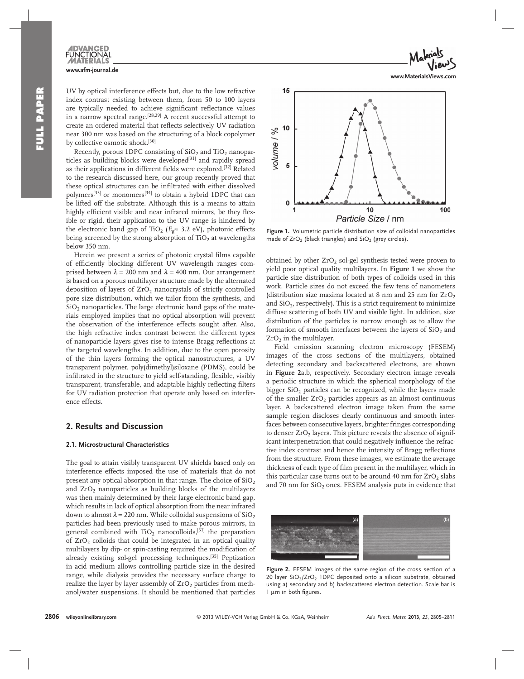UV by optical interference effects but, due to the low refractive index contrast existing between them, from 50 to 100 layers are typically needed to achieve significant reflectance values in a narrow spectral range.<sup>[28,29]</sup> A recent successful attempt to create an ordered material that reflects selectively UV radiation near 300 nm was based on the structuring of a block copolymer by collective osmotic shock.<sup>[30]</sup>

Recently, porous 1DPC consisting of  $SiO<sub>2</sub>$  and  $TiO<sub>2</sub>$  nanoparticles as building blocks were developed<sup>[31]</sup> and rapidly spread as their applications in different fields were explored.<sup>[32]</sup> Related to the research discussed here, our group recently proved that these optical structures can be infiltrated with either dissolved polymers<sup>[33]</sup> or monomers<sup>[34]</sup> to obtain a hybrid 1DPC that can be lifted off the substrate. Although this is a means to attain highly efficient visible and near infrared mirrors, be they flexible or rigid, their application to the UV range is hindered by the electronic band gap of TiO<sub>2</sub> ( $E_{\rho} \approx 3.2$  eV), photonic effects being screened by the strong absorption of  $TiO<sub>2</sub>$  at wavelengths below 350 nm.

Herein we present a series of photonic crystal films capable of efficiently blocking different UV wavelength ranges comprised between  $\lambda = 200$  nm and  $\lambda = 400$  nm. Our arrangement is based on a porous multilayer structure made by the alternated deposition of layers of  $ZrO<sub>2</sub>$  nanocrystals of strictly controlled pore size distribution, which we tailor from the synthesis, and  $SiO<sub>2</sub>$  nanoparticles. The large electronic band gaps of the materials employed implies that no optical absorption will prevent the observation of the interference effects sought after. Also, the high refractive index contrast between the different types of nanoparticle layers gives rise to intense Bragg reflections at the targeted wavelengths. In addition, due to the open porosity of the thin layers forming the optical nanostructures, a UV transparent polymer, poly(dimethyl)siloxane (PDMS), could be infiltrated in the structure to yield self-standing, flexible, visibly transparent, transferable, and adaptable highly reflecting filters for UV radiation protection that operate only based on interference effects.

# **2. Results and Discussion**

#### **2.1. Microstructural Characteristics**

 The goal to attain visibly transparent UV shields based only on interference effects imposed the use of materials that do not present any optical absorption in that range. The choice of  $SiO<sub>2</sub>$ and  $ZrO<sub>2</sub>$  nanoparticles as building blocks of the multilayers was then mainly determined by their large electronic band gap, which results in lack of optical absorption from the near infrared down to almost  $\lambda = 220$  nm. While colloidal suspensions of SiO<sub>2</sub> particles had been previously used to make porous mirrors, in general combined with  $TiO<sub>2</sub>$  nanocolloids,<sup>[31]</sup> the preparation of  $ZrO<sub>2</sub>$  colloids that could be integrated in an optical quality multilayers by dip- or spin-casting required the modification of already existing sol-gel processing techniques.<sup>[35]</sup> Peptization in acid medium allows controlling particle size in the desired range, while dialysis provides the necessary surface charge to realize the layer by layer assembly of  $ZrO<sub>2</sub>$  particles from methanol/water suspensions. It should be mentioned that particles



Figure 1. Volumetric particle distribution size of colloidal nanoparticles made of  $ZrO<sub>2</sub>$  (black triangles) and  $SiO<sub>2</sub>$  (grey circles).

obtained by other ZrO<sub>2</sub> sol-gel synthesis tested were proven to yield poor optical quality multilayers. In **Figure 1** we show the particle size distribution of both types of colloids used in this work. Particle sizes do not exceed the few tens of nanometers (distribution size maxima located at 8 nm and 25 nm for  $ZrO<sub>2</sub>$ and  $SiO<sub>2</sub>$ , respectively). This is a strict requirement to minimize diffuse scattering of both UV and visible light. In addition, size distribution of the particles is narrow enough as to allow the formation of smooth interfaces between the layers of  $SiO<sub>2</sub>$  and  $ZrO<sub>2</sub>$  in the multilayer.

 Field emission scanning electron microscopy (FESEM) images of the cross sections of the multilayers, obtained detecting secondary and backscattered electrons, are shown in **Figure 2** a,b, respectively. Secondary electron image reveals a periodic structure in which the spherical morphology of the bigger  $SiO<sub>2</sub>$  particles can be recognized, while the layers made of the smaller  $ZrO<sub>2</sub>$  particles appears as an almost continuous layer. A backscattered electron image taken from the same sample region discloses clearly continuous and smooth interfaces between consecutive layers, brighter fringes corresponding to denser  $ZrO<sub>2</sub>$  layers. This picture reveals the absence of significant interpenetration that could negatively influence the refractive index contrast and hence the intensity of Bragg reflections from the structure. From these images, we estimate the average thickness of each type of film present in the multilayer, which in this particular case turns out to be around 40 nm for  $ZrO<sub>2</sub>$  slabs and 70 nm for  $SiO<sub>2</sub>$  ones. FESEM analysis puts in evidence that



Figure 2. FESEM images of the same region of the cross section of a 20 layer  $SiO<sub>2</sub>/ZrO<sub>2</sub>$  1DPC deposited onto a silicon substrate, obtained using a) secondary and b) backscattered electron detection. Scale bar is 1 µm in both figures.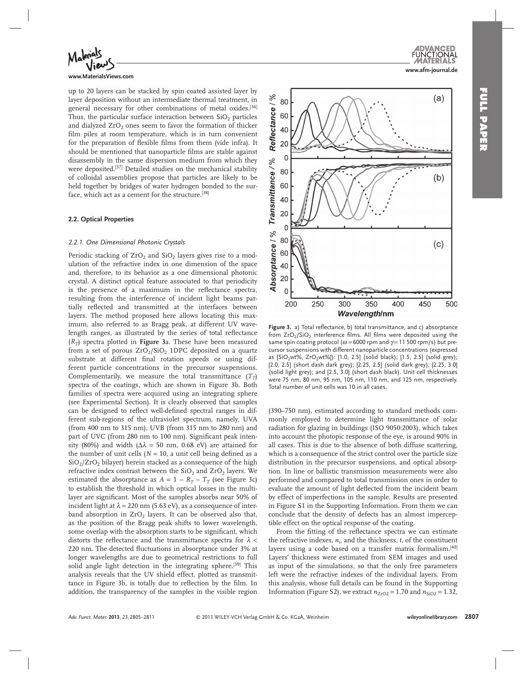



**www.MaterialsViews.com**

up to 20 layers can be stacked by spin coated assisted layer by layer deposition without an intermediate thermal treatment, in general necessary for other combinations of metal oxides.<sup>[36]</sup> Thus, the particular surface interaction between  $SiO<sub>2</sub>$  particles and dialyzed  $ZrO<sub>2</sub>$  ones seem to favor the formation of thicker film piles at room temperature, which is in turn convenient for the preparation of flexible films from them (vide infra). It should be mentioned that nanoparticle films are stable against disassembly in the same dispersion medium from which they were deposited.<sup>[37]</sup> Detailed studies on the mechanical stability of colloidal assemblies propose that particles are likely to be held together by bridges of water hydrogen bonded to the surface, which act as a cement for the structure.<sup>[38]</sup>

#### **2.2. Optical Properties**

#### *2.2.1. One Dimensional Photonic Crystals*

Periodic stacking of  $ZrO<sub>2</sub>$  and  $SiO<sub>2</sub>$  layers gives rise to a modulation of the refractive index in one dimension of the space and, therefore, to its behavior as a one dimensional photonic crystal. A distinct optical feature associated to that periodicity is the presence of a maximum in the reflectance spectra, resulting from the interference of incident light beams partially reflected and transmitted at the interfaces between layers. The method proposed here allows locating this maximum, also referred to as Bragg peak, at different UV wavelength ranges, as illustrated by the series of total reflectance  $(R_T)$  spectra plotted in **Figure** 3a. These have been measured from a set of porous  $ZrO_2/SiO_2$  1DPC deposited on a quartz substrate at different final rotation speeds or using different particle concentrations in the precursor suspensions. Complementarily, we measure the total transmittance  $(T_T)$ spectra of the coatings, which are shown in Figure 3b. Both families of spectra were acquired using an integrating sphere (see Experimental Section). It is clearly observed that samples can be designed to reflect well-defined spectral ranges in different sub-regions of the ultraviolet spectrum, namely, UVA (from 400 nm to 315 nm), UVB (from 315 nm to 280 nm) and part of UVC (from 280 nm to 100 nm). Significant peak intensity (80%) and width ( $\Delta \lambda$  = 50 nm, 0.68 eV) are attained for the number of unit cells  $(N = 10)$ , a unit cell being defined as a  $SiO<sub>2</sub>/ZrO<sub>2</sub>$  bilayer) herein stacked as a consequence of the high refractive index contrast between the  $SiO<sub>2</sub>$  and  $ZrO<sub>2</sub>$  layers. We estimated the absorptance as  $A = 1 - R_T - T_T$  (see Figure 3c) to establish the threshold in which optical losses in the multilayer are significant. Most of the samples absorbs near 50% of incident light at  $\lambda = 220$  nm (5.63 eV), as a consequence of interband absorption in  $ZrO<sub>2</sub>$  layers. It can be observed also that, as the position of the Bragg peak shifts to lower wavelength, some overlap with the absorption starts to be significant, which distorts the reflectance and the transmittance spectra for  $\lambda$  < 220 nm. The detected fluctuations in absorptance under 3% at longer wavelengths are due to geometrical restrictions to full solid angle light detection in the integrating sphere.<sup>[39]</sup> This analysis reveals that the UV shield effect, plotted as transmittance in Figure 3b, is totally due to reflection by the film. In addition, the transparency of the samples in the visible region



**Figure 3.** a) Total reflectance, b) total transmittance, and c) absorptance from  $ZrO<sub>2</sub>/SiO<sub>2</sub>$  interference films. All films were deposited using the same spin coating protocol ( $\omega$  = 6000 rpm and  $\gamma$  = 11 500 rpm/s) but precursor suspensions with different nanoparticle concentrations (expressed as  $[SiO<sub>2</sub>wt\%, ZrO<sub>2</sub>wt\%]$ : [1.0, 2.5] (solid black); [1.5, 2.5] (solid grey); [2.0, 2.5] (short dash dark grey); [2.25, 2.5] (solid dark grey); [2.25, 3.0] (solid light grey); and [2.5, 3.0] (short dash black). Unit cell thicknesses were 75 nm, 80 nm, 95 nm, 105 nm, 110 nm, and 125 nm, respectively. Total number of unit cells was 10 in all cases.

(390–750 nm), estimated according to standard methods commonly employed to determine light transmittance of solar radiation for glazing in buildings (ISO 9050:2003), which takes into account the photopic response of the eye, is around 90% in all cases. This is due to the absence of both diffuse scattering, which is a consequence of the strict control over the particle size distribution in the precursor suspensions, and optical absorption. In line or ballistic transmission measurements were also performed and compared to total transmission ones in order to evaluate the amount of light deflected from the incident beam by effect of imperfections in the sample. Results are presented in Figure S1 in the Supporting Information. From them we can conclude that the density of defects has an almost imperceptible effect on the optical response of the coating.

From the fitting of the reflectance spectra we can estimate the refractive indexes,  $n_i$ , and the thickness,  $t$ , of the constituent layers using a code based on a transfer matrix formalism.<sup>[40]</sup> Layers' thickness were estimated from SEM images and used as input of the simulations, so that the only free parameters left were the refractive indexes of the individual layers. From this analysis, whose full details can be found in the Supporting Information (Figure S2), we extract  $n_{ZrO2} = 1.70$  and  $n_{SiO2} = 1.32$ ,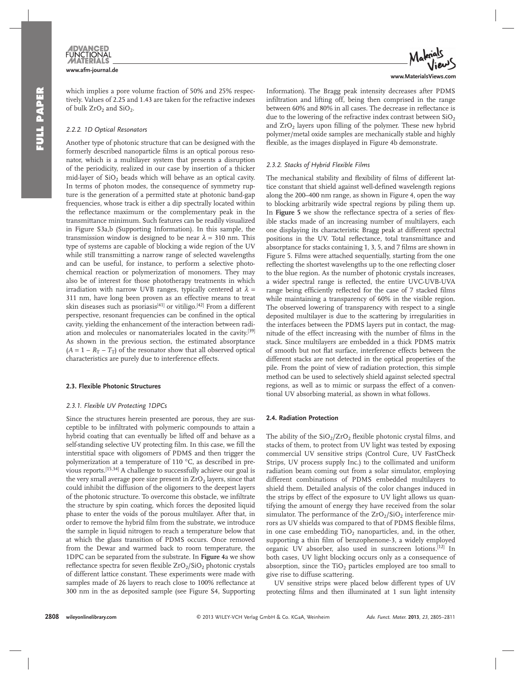which implies a pore volume fraction of 50% and 25% respectively. Values of 2.25 and 1.43 are taken for the refractive indexes of bulk  $ZrO<sub>2</sub>$  and  $SiO<sub>2</sub>$ .

#### *2.2.2. 1D Optical Resonators*

 Another type of photonic structure that can be designed with the formerly described nanoparticle films is an optical porous resonator, which is a multilayer system that presents a disruption of the periodicity, realized in our case by insertion of a thicker mid-layer of  $SiO<sub>2</sub>$  beads which will behave as an optical cavity. In terms of photon modes, the consequence of symmetry rupture is the generation of a permitted state at photonic band-gap frequencies, whose track is either a dip spectrally located within the reflectance maximum or the complementary peak in the transmittance minimum. Such features can be readily visualized in Figure S3a,b (Supporting Information). In this sample, the transmission window is designed to be near  $\lambda = 310$  nm. This type of systems are capable of blocking a wide region of the UV while still transmitting a narrow range of selected wavelengths and can be useful, for instance, to perform a selective photochemical reaction or polymerization of monomers. They may also be of interest for those phototherapy treatments in which irradiation with narrow UVB ranges, typically centered at  $\lambda =$ 311 nm, have long been proven as an effective means to treat skin diseases such as psoriasis<sup>[41]</sup> or vitiligo.<sup>[42]</sup> From a different perspective, resonant frequencies can be confined in the optical cavity, yielding the enhancement of the interaction between radiation and molecules or nanomateriales located in the cavity.<sup>[39]</sup> As shown in the previous section, the estimated absorptance  $(A = 1 - R_T - T_T)$  of the resonator show that all observed optical characteristics are purely due to interference effects.

#### **2.3. Flexible Photonic Structures**

#### *2.3.1. Flexible UV Protecting 1DPCs*

 Since the structures herein presented are porous, they are susceptible to be infiltrated with polymeric compounds to attain a hybrid coating that can eventually be lifted off and behave as a self-standing selective UV protecting film. In this case, we fill the interstitial space with oligomers of PDMS and then trigger the polymerization at a temperature of 110 °C, as described in previous reports.<sup>[15,34]</sup> A challenge to successfully achieve our goal is the very small average pore size present in  $ZrO<sub>2</sub>$  layers, since that could inhibit the diffusion of the oligomers to the deepest layers of the photonic structure. To overcome this obstacle, we infiltrate the structure by spin coating, which forces the deposited liquid phase to enter the voids of the porous multilayer. After that, in order to remove the hybrid film from the substrate, we introduce the sample in liquid nitrogen to reach a temperature below that at which the glass transition of PDMS occurs. Once removed from the Dewar and warmed back to room temperature, the 1DPC can be separated from the substrate. In **Figure 4** a we show reflectance spectra for seven flexible  $ZrO_2/SiO_2$  photonic crystals of different lattice constant. These experiments were made with samples made of 26 layers to reach close to 100% reflectance at 300 nm in the as deposited sample (see Figure S4, Supporting



Information). The Bragg peak intensity decreases after PDMS infiltration and lifting off, being then comprised in the range between 60% and 80% in all cases. The decrease in reflectance is due to the lowering of the refractive index contrast between  $SiO<sub>2</sub>$ and  $ZrO<sub>2</sub>$  layers upon filling of the polymer. These new hybrid polymer/metal oxide samples are mechanically stable and highly flexible, as the images displayed in Figure 4b demonstrate.

#### *2.3.2. Stacks of Hybrid Flexible Films*

The mechanical stability and flexibility of films of different lattice constant that shield against well-defined wavelength regions along the 200–400 nm range, as shown in Figure 4, open the way to blocking arbitrarily wide spectral regions by piling them up. In Figure 5 we show the reflectance spectra of a series of flexible stacks made of an increasing number of multilayers, each one displaying its characteristic Bragg peak at different spectral positions in the UV. Total reflectance, total transmittance and absorptance for stacks containing 1, 3, 5, and 7 films are shown in Figure 5. Films were attached sequentially, starting from the one reflecting the shortest wavelengths up to the one reflecting closer to the blue region. As the number of photonic crystals increases, a wider spectral range is reflected, the entire UVC-UVB-UVA range being efficiently reflected for the case of 7 stacked films while maintaining a transparency of 60% in the visible region. The observed lowering of transparency with respect to a single deposited multilayer is due to the scattering by irregularities in the interfaces between the PDMS layers put in contact, the magnitude of the effect increasing with the number of films in the stack. Since multilayers are embedded in a thick PDMS matrix of smooth but not flat surface, interference effects between the different stacks are not detected in the optical properties of the pile. From the point of view of radiation protection, this simple method can be used to selectively shield against selected spectral regions, as well as to mimic or surpass the effect of a conventional UV absorbing material, as shown in what follows.

#### **2.4. Radiation Protection**

The ability of the  $SiO_2/ZrO_2$  flexible photonic crystal films, and stacks of them, to protect from UV light was tested by exposing commercial UV sensitive strips (Control Cure, UV FastCheck Strips, UV process supply Inc.) to the collimated and uniform radiation beam coming out from a solar simulator, employing different combinations of PDMS embedded multilayers to shield them. Detailed analysis of the color changes induced in the strips by effect of the exposure to UV light allows us quantifying the amount of energy they have received from the solar simulator. The performance of the  $ZrO_2/SiO_2$  interference mirrors as UV shields was compared to that of PDMS flexible films, in one case embedding  $TiO<sub>2</sub>$  nanoparticles, and, in the other, supporting a thin film of benzophenone-3, a widely employed organic UV absorber, also used in sunscreen lotions.<sup>[12]</sup> In both cases, UV light blocking occurs only as a consequence of absorption, since the  $TiO<sub>2</sub>$  particles employed are too small to give rise to diffuse scattering.

 UV sensitive strips were placed below different types of UV protecting films and then illuminated at 1 sun light intensity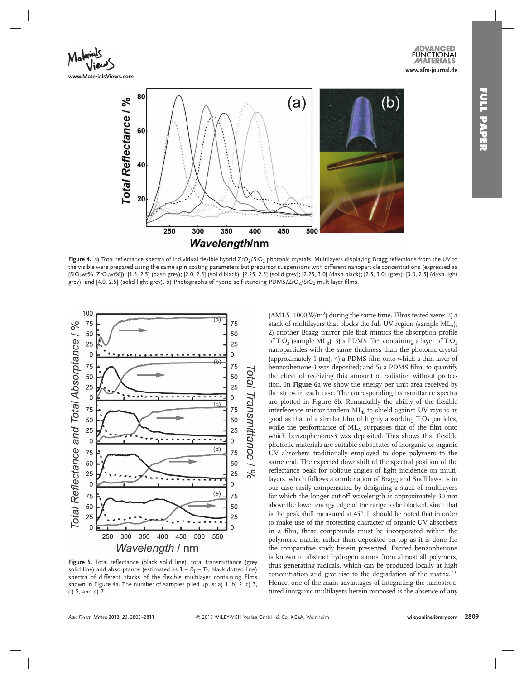

Figure 4. a) Total reflectance spectra of individual flexible hybrid ZrO<sub>2</sub>/SiO<sub>2</sub> photonic crystals. Multilayers displaying Bragg reflections from the UV to the visible were prepared using the same spin coating parameters but precursor suspensions with different nanoparticle concentrations (expressed as [SiO<sub>2</sub>wt%, ZrO<sub>2</sub>wt%]): [1.5, 2.5] (dash grey); [2.0, 2.5] (solid black); [2.25, 2.5] (solid grey); [2.25, 3.0] (dash black); [2.5, 3.0] (grey); [3.0, 2.5] (dash light grey); and [4.0, 2.5] (solid light grey). b) Photographs of hybrid self-standing PDMS/ZrO2/SiO2 multilayer films.



Figure 5. Total reflectance (black solid line), total transmittance (grey solid line) and absorptance (estimated as  $1 - R_T - T_T$ , black dotted line) spectra of different stacks of the flexible multilayer containing films shown in Figure 4a. The number of samples piled up is: a) 1, b) 2, c) 3, d) 5, and e) 7.

(AM1.5, 1000  $\text{W/m}^2$ ) during the same time. Films tested were: 1) a stack of multilayers that blocks the full UV region (sample  $ML_A$ ); 2) another Bragg mirror pile that mimics the absorption profile of TiO<sub>2</sub> (sample ML<sub>B</sub>); 3) a PDMS film containing a layer of TiO<sub>2</sub> nanoparticles with the same thickness than the photonic crystal (approximately 1  $\mu$ m); 4) a PDMS film onto which a thin layer of benzophenone-3 was deposited; and 5) a PDMS film, to quantify the effect of receiving this amount of radiation without protection. In **Figure 6** a we show the energy per unit area received by the strips in each case. The corresponding transmittance spectra are plotted in Figure 6b. Remarkably the ability of the flexible interference mirror tandem  $ML_B$  to shield against UV rays is as good as that of a similar film of highly absorbing  $TiO<sub>2</sub>$  particles, while the performance of  $ML_A$  surpasses that of the film onto which benzophenone-3 was deposited. This shows that flexible photonic materials are suitable substitutes of inorganic or organic UV absorbers traditionally employed to dope polymers to the same end. The expected downshift of the spectral position of the reflectance peak for oblique angles of light incidence on multilayers, which follows a combination of Bragg and Snell laws, is in our case easily compensated by designing a stack of multilayers for which the longer cut-off wavelength is approximately 30 nm above the lower energy edge of the range to be blocked, since that is the peak shift measured at 45°. It should be noted that in order to make use of the protecting character of organic UV absorbers in a film, these compounds must be incorporated within the polymeric matrix, rather than deposited on top as it is done for the comparative study herein presented. Excited benzophenone is known to abstract hydrogen atoms from almost all polymers, thus generating radicals, which can be produced locally at high concentration and give rise to the degradation of the matrix. [43] Hence, one of the main advantages of integrating the nanostructured inorganic multilayers herein proposed is the absence of any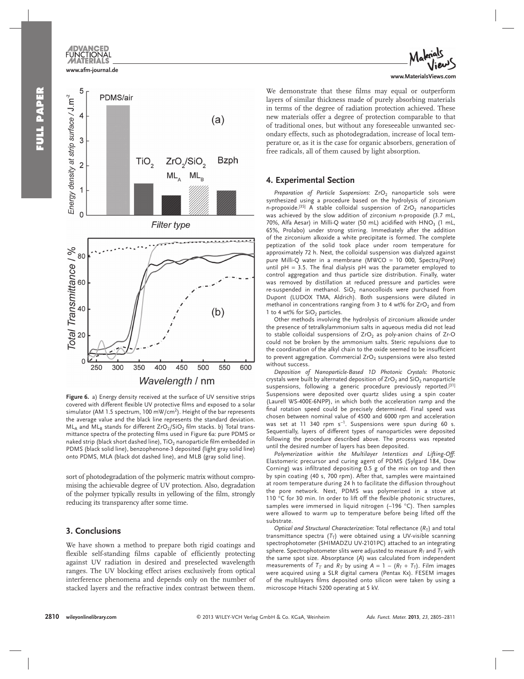# **FUNCTIONAL www.afm-journal.de**



Figure 6. a) Energy density received at the surface of UV sensitive strips covered with different flexible UV protective films and exposed to a solar simulator (AM 1.5 spectrum, 100 mW/cm<sup>2</sup>). Height of the bar represents the average value and the black line represents the standard deviation.  $ML_A$  and  $ML_B$  stands for different  $ZrO_2/SiO_2$  film stacks. b) Total transmittance spectra of the protecting films used in Figure 6a: pure PDMS or naked strip (black short dashed line),  $TiO<sub>2</sub>$  nanoparticle film embedded in PDMS (black solid line), benzophenone-3 deposited (light gray solid line) onto PDMS, MLA (black dot dashed line), and MLB (gray solid line).

sort of photodegradation of the polymeric matrix without compromising the achievable degree of UV protection. Also, degradation of the polymer typically results in yellowing of the film, strongly reducing its transparency after some time.

# **3. Conclusions**

 We have shown a method to prepare both rigid coatings and flexible self-standing films capable of efficiently protecting against UV radiation in desired and preselected wavelength ranges. The UV blocking effect arises exclusively from optical interference phenomena and depends only on the number of stacked layers and the refractive index contrast between them.



We demonstrate that these films may equal or outperform layers of similar thickness made of purely absorbing materials in terms of the degree of radiation protection achieved. These new materials offer a degree of protection comparable to that of traditional ones, but without any foreseeable unwanted secondary effects, such as photodegradation, increase of local temperature or, as it is the case for organic absorbers, generation of free radicals, all of them caused by light absorption.

## **4. Experimental Section**

*Preparation of Particle Suspensions*: ZrO<sub>2</sub> nanoparticle sols were synthesized using a procedure based on the hydrolysis of zirconium n-propoxide.<sup>[35]</sup> A stable colloidal suspension of  $ZrO<sub>2</sub>$  nanoparticles was achieved by the slow addition of zirconium n-propoxide (3.7 mL, 70%, Alfa Aesar) in Milli-Q water (50 mL) acidified with  $HNO<sub>3</sub>$  (1 mL, 65%, Prolabo) under strong stirring. Immediately after the addition of the zirconium alkoxide a white precipitate is formed. The complete peptization of the solid took place under room temperature for approximately 72 h. Next, the colloidal suspension was dialyzed against pure Milli-Q water in a membrane (MWCO = 10 000, Spectra/Pore) until  $pH = 3.5$ . The final dialysis  $pH$  was the parameter employed to control aggregation and thus particle size distribution. Finally, water was removed by distillation at reduced pressure and particles were re-suspended in methanol.  $SiO<sub>2</sub>$  nanocolloids were purchased from Dupont (LUDOX TMA, Aldrich). Both suspensions were diluted in methanol in concentrations ranging from 3 to 4 wt% for  $ZrO<sub>2</sub>$  and from 1 to 4 wt% for  $SiO<sub>2</sub>$  particles.

 Other methods involving the hydrolysis of zirconium alkoxide under the presence of tetralkylammonium salts in aqueous media did not lead to stable colloidal suspensions of  $ZrO<sub>2</sub>$  as poly-anion chains of  $Zr-O$ could not be broken by the ammonium salts. Steric repulsions due to the coordination of the alkyl chain to the oxide seemed to be insufficient to prevent aggregation. Commercial  $ZrO<sub>2</sub>$  suspensions were also tested without success.

*Deposition of Nanoparticle-Based 1D Photonic Crystals* : Photonic crystals were built by alternated deposition of  $ZrO<sub>2</sub>$  and  $SiO<sub>2</sub>$  nanoparticle suspensions, following a generic procedure previously reported.<sup>[31]</sup> Suspensions were deposited over quartz slides using a spin coater (Laurell WS-400E-6NPP), in which both the acceleration ramp and the final rotation speed could be precisely determined. Final speed was chosen between nominal value of 4500 and 6000 rpm and acceleration was set at 11 340 rpm  $s^{-1}$ . Suspensions were spun during 60 s. Sequentially, layers of different types of nanoparticles were deposited following the procedure described above. The process was repeated until the desired number of layers has been deposited.

*Polymerization within the Multilayer Interstices and Lifting-Off* : Elastomeric precursor and curing agent of PDMS (Sylgard 184, Dow Corning) was infiltrated depositing 0.5 g of the mix on top and then by spin coating (40 s, 700 rpm). After that, samples were maintained at room temperature during 24 h to facilitate the diffusion throughout the pore network. Next, PDMS was polymerized in a stove at 110 °C for 30 min. In order to lift off the flexible photonic structures, samples were immersed in liquid nitrogen  $(-196 °C)$ . Then samples were allowed to warm up to temperature before being lifted off the substrate.

*Optical and Structural Characterization*: Total reflectance  $(R_T)$  and total transmittance spectra  $(T_T)$  were obtained using a UV-visible scanning spectrophotometer (SHIMADZU UV-2101PC) attached to an integrating sphere. Spectrophotometer slits were adjusted to measure  $R<sub>T</sub>$  and  $T<sub>T</sub>$  with the same spot size. Absorptance (A) was calculated from independent measurements of  $T_T$  and  $R_T$  by using  $A = 1 - (R_T + T_T)$ . Film images were acquired using a SLR digital camera (Pentax Kx). FESEM images of the multilayers films deposited onto silicon were taken by using a microscope Hitachi 5200 operating at 5 kV.